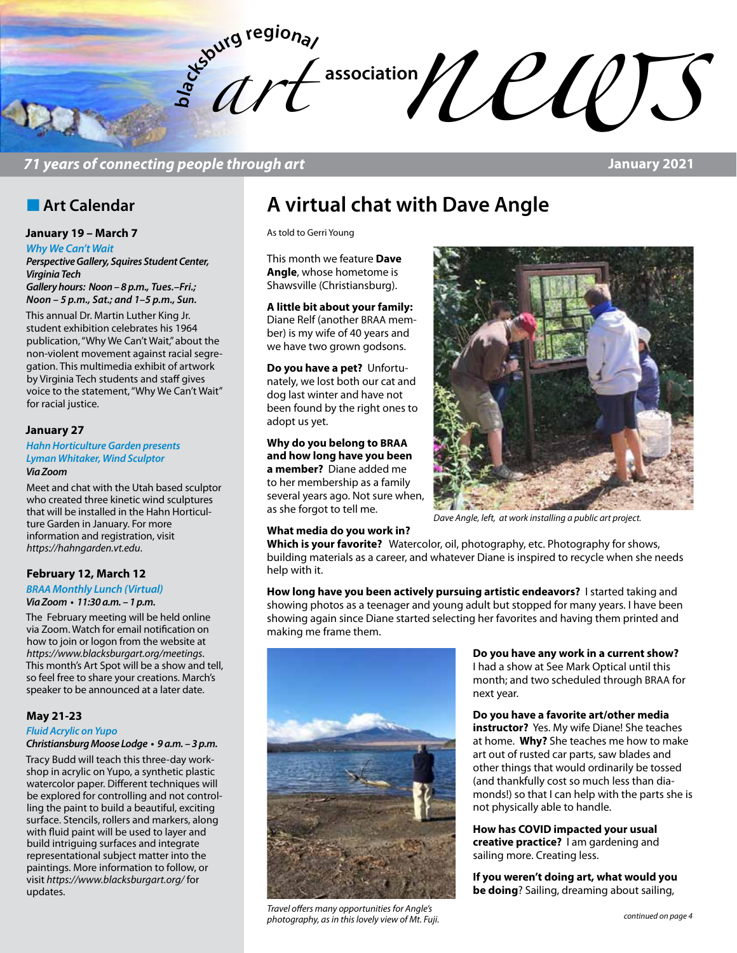

### *71 years of connecting people through art* **January 2021**

### **n** Art Calendar

#### **January 19 – March 7**

*Why We Can't Wait*

*Perspective Gallery, Squires Student Center, Virginia Tech*

*Gallery hours: Noon – 8 p.m., Tues.–Fri.; Noon – 5 p.m., Sat.; and 1–5 p.m., Sun.*

This annual Dr. Martin Luther King Jr. student exhibition celebrates his 1964 publication, "Why We Can't Wait," about the non-violent movement against racial segregation. This multimedia exhibit of artwork by Virginia Tech students and staff gives voice to the statement, "Why We Can't Wait" for racial justice.

#### **January 27**

*Hahn Horticulture Garden presents Lyman Whitaker, Wind Sculptor Via Zoom* 

Meet and chat with the Utah based sculptor who created three kinetic wind sculptures that will be installed in the Hahn Horticulture Garden in January. For more information and registration, visit *https://hahngarden.vt.edu*.

#### **February 12, March 12**

*BRAA Monthly Lunch (Virtual)*

#### **Via Zoom • 11:30 a.m. – 1 p.m.**

The February meeting will be held online via Zoom. Watch for email notification on how to join or logon from the website at *https://www.blacksburgart.org/meetings*. This month's Art Spot will be a show and tell, so feel free to share your creations. March's speaker to be announced at a later date.

#### **May 21-23**

#### *Fluid Acrylic on Yupo* **Christiansburg Moose Lodge • 9 a.m. – 3 p.m.**

Tracy Budd will teach this three-day workshop in acrylic on Yupo, a synthetic plastic watercolor paper. Different techniques will be explored for controlling and not controlling the paint to build a beautiful, exciting surface. Stencils, rollers and markers, along with fluid paint will be used to layer and build intriguing surfaces and integrate representational subject matter into the paintings. More information to follow, or visit *https://www.blacksburgart.org/* for updates.

# **A virtual chat with Dave Angle**

As told to Gerri Young

This month we feature **Dave Angle**, whose hometome is Shawsville (Christiansburg).

#### **A little bit about your family:**

Diane Relf (another BRAA member) is my wife of 40 years and we have two grown godsons.

**Do you have a pet?** Unfortunately, we lost both our cat and dog last winter and have not been found by the right ones to adopt us yet.

**Why do you belong to BRAA and how long have you been a member?** Diane added me to her membership as a family several years ago. Not sure when, as she forgot to tell me.

#### **What media do you work in?**



*Dave Angle, left, at work installing a public art project.*

**Which is your favorite?** Watercolor, oil, photography, etc. Photography for shows, building materials as a career, and whatever Diane is inspired to recycle when she needs help with it.

**How long have you been actively pursuing artistic endeavors?** I started taking and showing photos as a teenager and young adult but stopped for many years. I have been showing again since Diane started selecting her favorites and having them printed and making me frame them.



*continued on page 4 Travel offers many opportunities for Angle's photography, as in this lovely view of Mt. Fuji.*

**Do you have any work in a current show?**  I had a show at See Mark Optical until this month; and two scheduled through BRAA for next year.

**Do you have a favorite art/other media instructor?** Yes. My wife Diane! She teaches at home. **Why?** She teaches me how to make art out of rusted car parts, saw blades and other things that would ordinarily be tossed (and thankfully cost so much less than diamonds!) so that I can help with the parts she is not physically able to handle.

**How has COVID impacted your usual creative practice?** I am gardening and sailing more. Creating less.

**If you weren't doing art, what would you be doing**? Sailing, dreaming about sailing,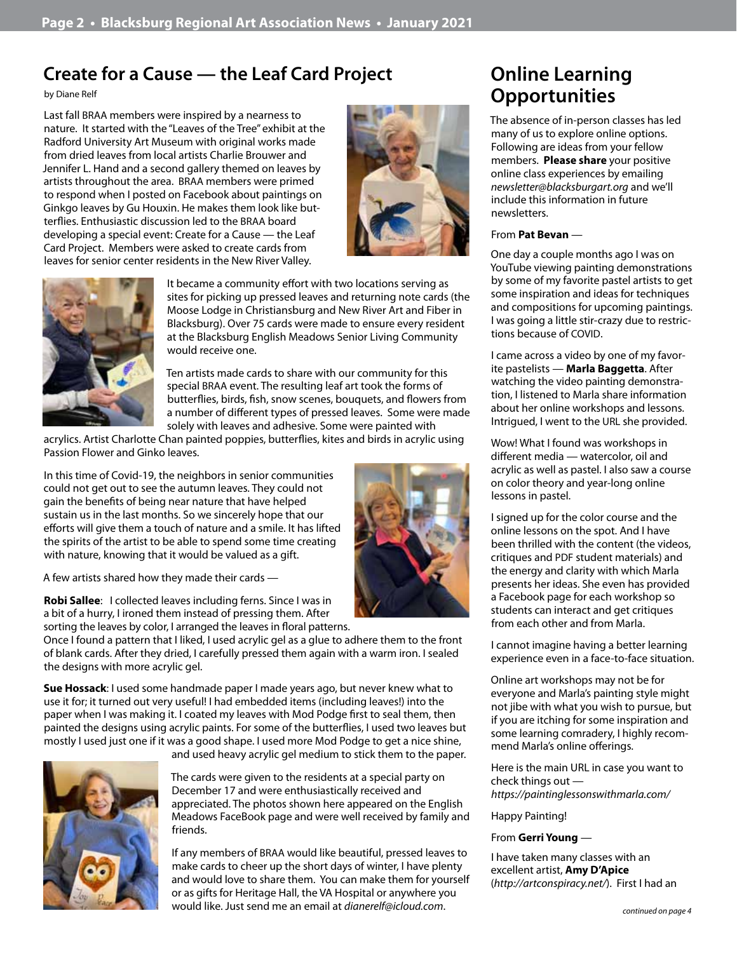## **Create for a Cause — the Leaf Card Project**

by Diane Relf

Last fall BRAA members were inspired by a nearness to nature. It started with the "Leaves of the Tree" exhibit at the Radford University Art Museum with original works made from dried leaves from local artists Charlie Brouwer and Jennifer L. Hand and a second gallery themed on leaves by artists throughout the area. BRAA members were primed to respond when I posted on Facebook about paintings on Ginkgo leaves by Gu Houxin. He makes them look like butterflies. Enthusiastic discussion led to the BRAA board developing a special event: Create for a Cause — the Leaf Card Project. Members were asked to create cards from leaves for senior center residents in the New River Valley.



It became a community effort with two locations serving as sites for picking up pressed leaves and returning note cards (the Moose Lodge in Christiansburg and New River Art and Fiber in Blacksburg). Over 75 cards were made to ensure every resident at the Blacksburg English Meadows Senior Living Community would receive one.

Ten artists made cards to share with our community for this special BRAA event. The resulting leaf art took the forms of butterflies, birds, fish, snow scenes, bouquets, and flowers from a number of different types of pressed leaves. Some were made solely with leaves and adhesive. Some were painted with

acrylics. Artist Charlotte Chan painted poppies, butterflies, kites and birds in acrylic using Passion Flower and Ginko leaves.

In this time of Covid-19, the neighbors in senior communities could not get out to see the autumn leaves. They could not gain the benefits of being near nature that have helped sustain us in the last months. So we sincerely hope that our efforts will give them a touch of nature and a smile. It has lifted the spirits of the artist to be able to spend some time creating with nature, knowing that it would be valued as a gift.

A few artists shared how they made their cards —

**Robi Sallee**: I collected leaves including ferns. Since I was in a bit of a hurry, I ironed them instead of pressing them. After sorting the leaves by color, I arranged the leaves in floral patterns.

Once I found a pattern that I liked, I used acrylic gel as a glue to adhere them to the front of blank cards. After they dried, I carefully pressed them again with a warm iron. I sealed the designs with more acrylic gel.

**Sue Hossack**: I used some handmade paper I made years ago, but never knew what to use it for; it turned out very useful! I had embedded items (including leaves!) into the paper when I was making it. I coated my leaves with Mod Podge first to seal them, then painted the designs using acrylic paints. For some of the butterflies, I used two leaves but mostly I used just one if it was a good shape. I used more Mod Podge to get a nice shine, and used heavy acrylic gel medium to stick them to the paper.



The cards were given to the residents at a special party on

December 17 and were enthusiastically received and appreciated. The photos shown here appeared on the English Meadows FaceBook page and were well received by family and friends.

If any members of BRAA would like beautiful, pressed leaves to make cards to cheer up the short days of winter, I have plenty and would love to share them. You can make them for yourself or as gifts for Heritage Hall, the VA Hospital or anywhere you would like. Just send me an email at *dianerelf@icloud.com*.

# **Online Learning Opportunities**

The absence of in-person classes has led many of us to explore online options. Following are ideas from your fellow members. **Please share** your positive online class experiences by emailing *newsletter@blacksburgart.org* and we'll include this information in future newsletters.

### From **Pat Bevan** —

One day a couple months ago I was on YouTube viewing painting demonstrations by some of my favorite pastel artists to get some inspiration and ideas for techniques and compositions for upcoming paintings. I was going a little stir-crazy due to restrictions because of COVID.

I came across a video by one of my favorite pastelists — **Marla Baggetta**. After watching the video painting demonstration, I listened to Marla share information about her online workshops and lessons. Intrigued, I went to the URL she provided.

Wow! What I found was workshops in different media — watercolor, oil and acrylic as well as pastel. I also saw a course on color theory and year-long online lessons in pastel.

I signed up for the color course and the online lessons on the spot. And I have been thrilled with the content (the videos, critiques and PDF student materials) and the energy and clarity with which Marla presents her ideas. She even has provided a Facebook page for each workshop so students can interact and get critiques from each other and from Marla.

I cannot imagine having a better learning experience even in a face-to-face situation.

Online art workshops may not be for everyone and Marla's painting style might not jibe with what you wish to pursue, but if you are itching for some inspiration and some learning comradery, I highly recommend Marla's online offerings.

Here is the main URL in case you want to check things out *https://paintinglessonswithmarla.com/*

Happy Painting!

#### From **Gerri Young** —

I have taken many classes with an excellent artist, **Amy D'Apice** (*http://artconspiracy.net/*). First I had an

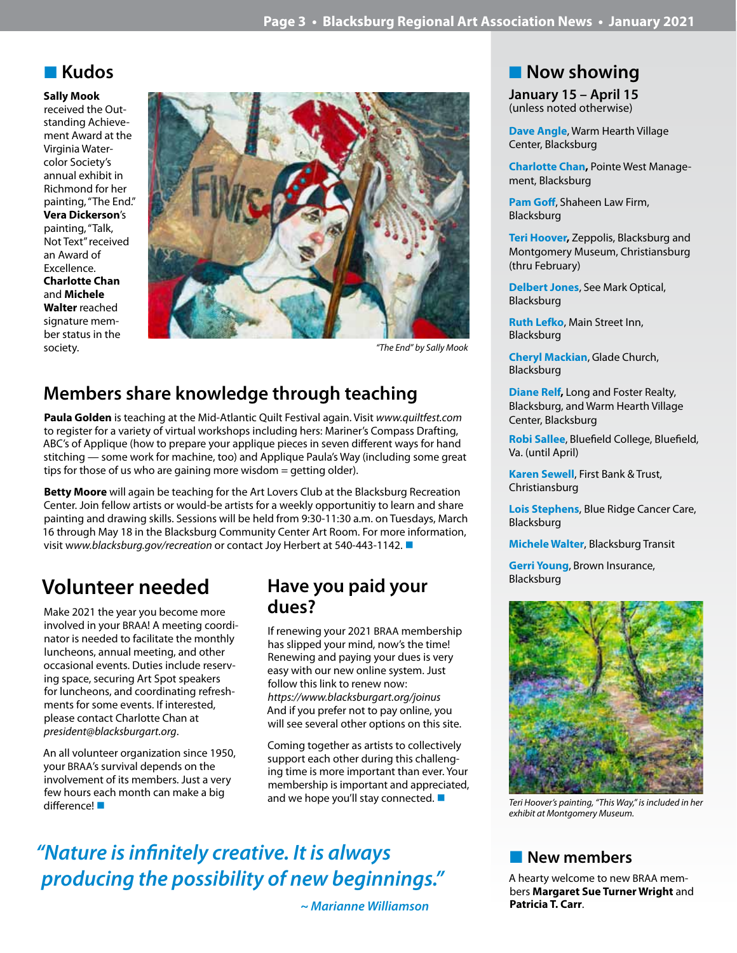### n **Kudos**

**Sally Mook** 

received the Outstanding Achievement Award at the Virginia Watercolor Society's annual exhibit in Richmond for her painting, "The End." **Vera Dickerson**'s painting, "Talk, Not Text" received an Award of Excellence. **Charlotte Chan**  and **Michele Walter** reached signature member status in the society. *"The End" by Sally Mook*



# **Members share knowledge through teaching**

**Paula Golden** is teaching at the Mid-Atlantic Quilt Festival again. Visit *www.quiltfest.com* to register for a variety of virtual workshops including hers: Mariner's Compass Drafting, ABC's of Applique (how to prepare your applique pieces in seven different ways for hand stitching — some work for machine, too) and Applique Paula's Way (including some great tips for those of us who are gaining more wisdom = getting older).

**Betty Moore** will again be teaching for the Art Lovers Club at the Blacksburg Recreation Center. Join fellow artists or would-be artists for a weekly opportunitiy to learn and share painting and drawing skills. Sessions will be held from 9:30-11:30 a.m. on Tuesdays, March 16 through May 18 in the Blacksburg Community Center Art Room. For more information, visit www.blacksburg.gov/recreation or contact Joy Herbert at 540-443-1142.

# **Volunteer needed**

Make 2021 the year you become more involved in your BRAA! A meeting coordinator is needed to facilitate the monthly luncheons, annual meeting, and other occasional events. Duties include reserving space, securing Art Spot speakers for luncheons, and coordinating refreshments for some events. If interested, please contact Charlotte Chan at *president@blacksburgart.org*.

An all volunteer organization since 1950, your BRAA's survival depends on the involvement of its members. Just a very few hours each month can make a big difference! Note that the second of the case is the contracted and we hope you'll stay connected. Note that the<br>difference! Note that we have a state of the connected in the difference! Note that we have a state of the con

### **Have you paid your dues?**

If renewing your 2021 BRAA membership has slipped your mind, now's the time! Renewing and paying your dues is very easy with our new online system. Just follow this link to renew now: *https://www.blacksburgart.org/joinus* And if you prefer not to pay online, you will see several other options on this site.

Coming together as artists to collectively support each other during this challenging time is more important than ever. Your membership is important and appreciated, and we hope you'll stay connected.  $\blacksquare$ 

# *"Nature is infinitely creative. It is always producing the possibility of new beginnings."*

 *~ Marianne Williamson*

# **n** Now showing

**January 15 – April 15** (unless noted otherwise)

**Dave Angle**, Warm Hearth Village Center, Blacksburg

**Charlotte Chan,** Pointe West Management, Blacksburg

**Pam Goff**, Shaheen Law Firm, Blacksburg

**Teri Hoover,** Zeppolis, Blacksburg and Montgomery Museum, Christiansburg (thru February)

**Delbert Jones**, See Mark Optical, Blacksburg

**Ruth Lefko**, Main Street Inn, Blacksburg

**Cheryl Mackian**, Glade Church, Blacksburg

**Diane Relf,** Long and Foster Realty, Blacksburg, and Warm Hearth Village Center, Blacksburg

**Robi Sallee**, Bluefield College, Bluefield, Va. (until April)

**Karen Sewell**, First Bank & Trust, Christiansburg

**Lois Stephens**, Blue Ridge Cancer Care, Blacksburg

**Michele Walter**, Blacksburg Transit

**Gerri Young**, Brown Insurance, Blacksburg



*exhibit at Montgomery Museum.*

### **New members**

A hearty welcome to new BRAA members **Margaret Sue Turner Wright** and **Patricia T. Carr**.